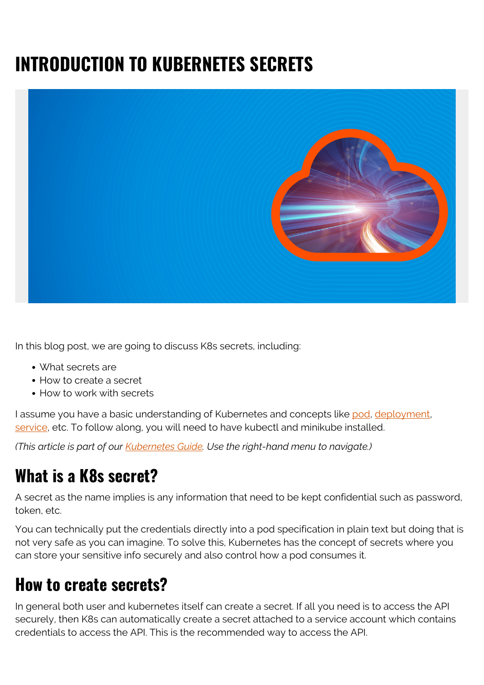# **INTRODUCTION TO KUBERNETES SECRETS**



In this blog post, we are going to discuss K8s secrets, including:

- What secrets are
- How to create a secret
- How to work with secrets

I assume you have a basic understanding of Kubernetes and concepts like [pod](https://blogs.bmc.com/blogs/kubernetes-pods/), [deployment](https://blogs.bmc.com/blogs/kubernetes-deployment/), [service](https://blogs.bmc.com/blogs/kubernetes-services/), etc. To follow along, you will need to have kubectl and minikube installed.

*(This article is part of our [Kubernetes Guide](https://blogs.bmc.com/blogs/what-is-kubernetes/). Use the right-hand menu to navigate.)*

### **What is a K8s secret?**

A secret as the name implies is any information that need to be kept confidential such as password, token, etc.

You can technically put the credentials directly into a pod specification in plain text but doing that is not very safe as you can imagine. To solve this, Kubernetes has the concept of secrets where you can store your sensitive info securely and also control how a pod consumes it.

### **How to create secrets?**

In general both user and kubernetes itself can create a secret. If all you need is to access the API securely, then K8s can automatically create a secret attached to a service account which contains credentials to access the API. This is the recommended way to access the API.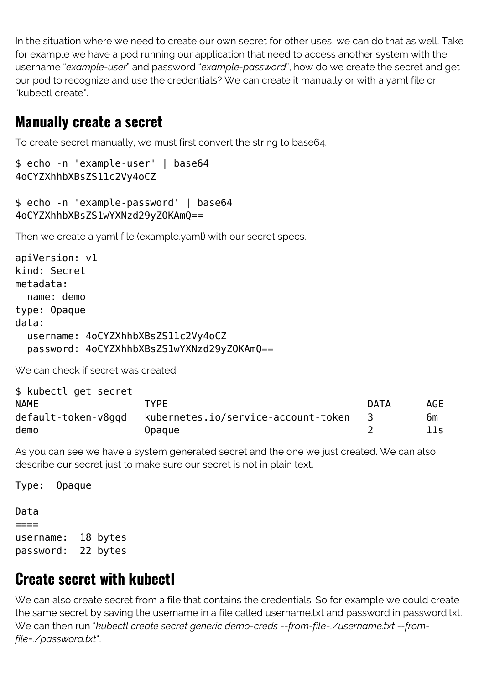In the situation where we need to create our own secret for other uses, we can do that as well. Take for example we have a pod running our application that need to access another system with the username "*example-user*" and password "*example-password*", how do we create the secret and get our pod to recognize and use the credentials? We can create it manually or with a yaml file or "kubectl create".

#### **Manually create a secret**

To create secret manually, we must first convert the string to base64.

```
$ echo -n 'example-user' | base64
4oCYZXhhbXBsZS11c2Vy4oCZ
```

```
$ echo -n 'example-password' | base64
4oCYZXhhbXBsZS1wYXNzd29yZOKAmQ==
```
Then we create a yaml file (example.yaml) with our secret specs.

```
apiVersion: v1
kind: Secret
metadata:
   name: demo
type: Opaque
data:
   username: 4oCYZXhhbXBsZS11c2Vy4oCZ
   password: 4oCYZXhhbXBsZS1wYXNzd29yZOKAmQ==
```
We can check if secret was created

| \$ kubectl get secret |                                     |             |            |
|-----------------------|-------------------------------------|-------------|------------|
| <b>NAME</b>           | TYPF                                | <b>DATA</b> | <b>AGE</b> |
| default-token-v8ggd   | kubernetes.io/service-account-token |             | 6m         |
| demo                  | <b>Opague</b>                       |             | 11s        |

As you can see we have a system generated secret and the one we just created. We can also describe our secret just to make sure our secret is not in plain text.

Type: Opaque

Data  $---$ username: 18 bytes password: 22 bytes

#### **Create secret with kubectl**

We can also create secret from a file that contains the credentials. So for example we could create the same secret by saving the username in a file called username.txt and password in password.txt. We can then run "*kubectl create secret generic demo-creds --from-file=./username.txt --fromfile=./password.txt*".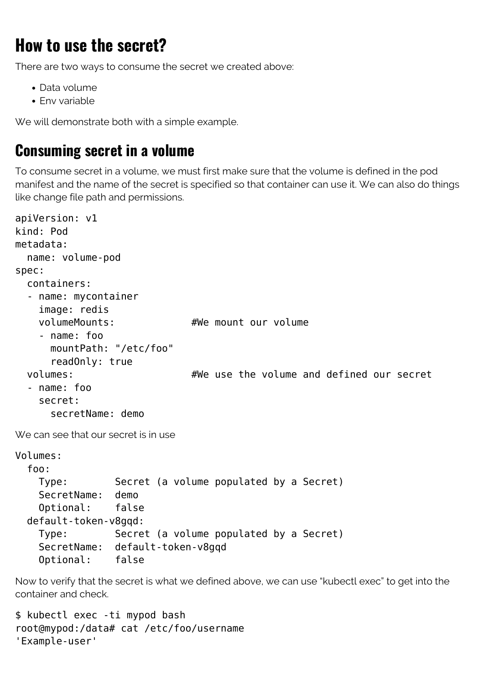# **How to use the secret?**

There are two ways to consume the secret we created above:

- Data volume
- Env variable

We will demonstrate both with a simple example.

### **Consuming secret in a volume**

To consume secret in a volume, we must first make sure that the volume is defined in the pod manifest and the name of the secret is specified so that container can use it. We can also do things like change file path and permissions.

```
apiVersion: v1
kind: Pod
metadata:
  name: volume-pod
spec:
  containers:
   - name: mycontainer
     image: redis
     volumeMounts: #We mount our volume
     - name: foo
      mountPath: "/etc/foo"
      readOnly: true
  volumes: #We use the volume and defined our secret
   - name: foo
     secret:
      secretName: demo
We can see that our secret is in use
Volumes:
   foo:
    Type: Secret (a volume populated by a Secret)
     SecretName: demo
     Optional: false
   default-token-v8gqd:
     Type: Secret (a volume populated by a Secret)
     SecretName: default-token-v8gqd
     Optional: false
```
Now to verify that the secret is what we defined above, we can use "kubectl exec" to get into the container and check.

```
$ kubectl exec -ti mypod bash
root@mypod:/data# cat /etc/foo/username
'Example-user'
```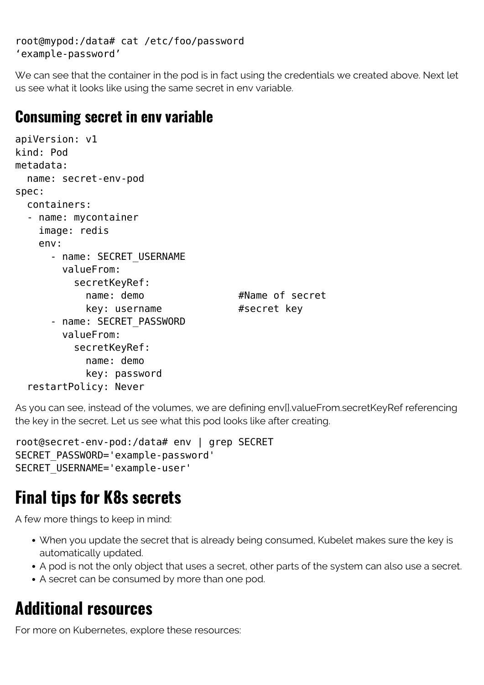#### root@mypod:/data# cat /etc/foo/password 'example-password'

We can see that the container in the pod is in fact using the credentials we created above. Next let us see what it looks like using the same secret in env variable.

#### **Consuming secret in env variable**

```
apiVersion: v1
kind: Pod
metadata:
   name: secret-env-pod
spec:
   containers:
   - name: mycontainer
     image: redis
    env:
      - name: SECRET USERNAME
         valueFrom:
           secretKeyRef:
           name: demo #Name of secret
           key: username #secret key:
      - name: SECRET PASSWORD
         valueFrom:
           secretKeyRef:
             name: demo
             key: password
   restartPolicy: Never
```
As you can see, instead of the volumes, we are defining env[].valueFrom.secretKeyRef referencing the key in the secret. Let us see what this pod looks like after creating.

```
root@secret-env-pod:/data# env | grep SECRET
SECRET_PASSWORD='example-password'
SECRET_USERNAME='example-user'
```
## **Final tips for K8s secrets**

A few more things to keep in mind:

- When you update the secret that is already being consumed, Kubelet makes sure the key is automatically updated.
- A pod is not the only object that uses a secret, other parts of the system can also use a secret.
- A secret can be consumed by more than one pod.

# **Additional resources**

For more on Kubernetes, explore these resources: